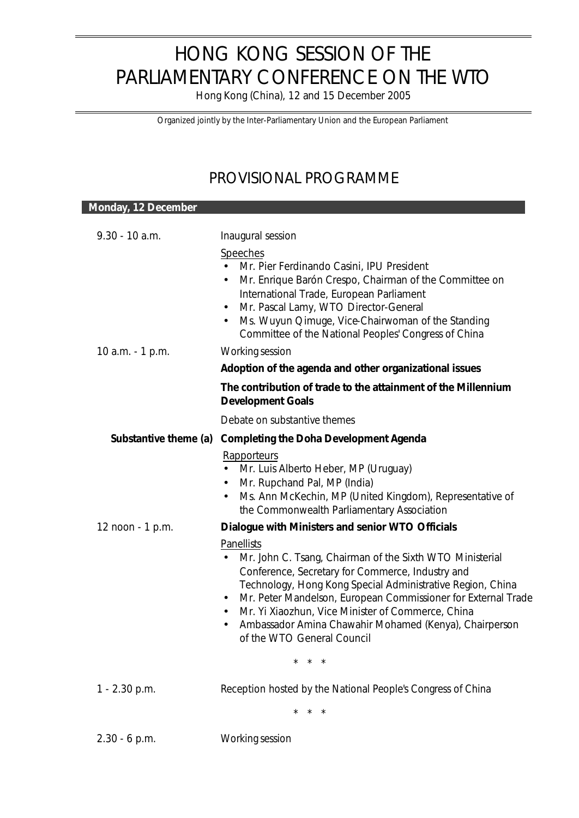## HONG KONG SESSION OF THE PARLIAMENTARY CONFERENCE ON THE WTO

Hong Kong (China), 12 and 15 December 2005

*Organized jointly by the Inter-Parliamentary Union and the European Parliament*

## PROVISIONAL PROGRAMME

| Monday, 12 December   |                                                                                                                                                                                                                                                                                                                                                                                                                                              |
|-----------------------|----------------------------------------------------------------------------------------------------------------------------------------------------------------------------------------------------------------------------------------------------------------------------------------------------------------------------------------------------------------------------------------------------------------------------------------------|
|                       |                                                                                                                                                                                                                                                                                                                                                                                                                                              |
| $9.30 - 10$ a.m.      | Inaugural session                                                                                                                                                                                                                                                                                                                                                                                                                            |
|                       | Speeches<br>Mr. Pier Ferdinando Casini, IPU President<br>Mr. Enrique Barón Crespo, Chairman of the Committee on<br>$\bullet$<br>International Trade, European Parliament<br>Mr. Pascal Lamy, WTO Director-General<br>$\bullet$<br>Ms. Wuyun Qimuge, Vice-Chairwoman of the Standing<br>$\bullet$<br>Committee of the National Peoples' Congress of China                                                                                     |
| 10 a.m. - 1 p.m.      | <b>Working session</b>                                                                                                                                                                                                                                                                                                                                                                                                                       |
|                       | Adoption of the agenda and other organizational issues                                                                                                                                                                                                                                                                                                                                                                                       |
|                       | The contribution of trade to the attainment of the Millennium<br><b>Development Goals</b>                                                                                                                                                                                                                                                                                                                                                    |
|                       | Debate on substantive themes                                                                                                                                                                                                                                                                                                                                                                                                                 |
| Substantive theme (a) | <b>Completing the Doha Development Agenda</b>                                                                                                                                                                                                                                                                                                                                                                                                |
|                       | Rapporteurs<br>Mr. Luis Alberto Heber, MP (Uruguay)<br>Mr. Rupchand Pal, MP (India)<br>$\bullet$<br>Ms. Ann McKechin, MP (United Kingdom), Representative of<br>$\bullet$<br>the Commonwealth Parliamentary Association                                                                                                                                                                                                                      |
| 12 noon - 1 p.m.      | Dialogue with Ministers and senior WTO Officials                                                                                                                                                                                                                                                                                                                                                                                             |
|                       | <b>Panellists</b><br>Mr. John C. Tsang, Chairman of the Sixth WTO Ministerial<br>Conference, Secretary for Commerce, Industry and<br>Technology, Hong Kong Special Administrative Region, China<br>Mr. Peter Mandelson, European Commissioner for External Trade<br>٠<br>Mr. Yi Xiaozhun, Vice Minister of Commerce, China<br>$\bullet$<br>Ambassador Amina Chawahir Mohamed (Kenya), Chairperson<br>$\bullet$<br>of the WTO General Council |
|                       | $\star$ $\star$ $\star$                                                                                                                                                                                                                                                                                                                                                                                                                      |
| 1 - 2.30 p.m.         | Reception hosted by the National People's Congress of China<br>$^{\star}$<br>$\star$ $\star$                                                                                                                                                                                                                                                                                                                                                 |
| $2.30 - 6$ p.m.       | Working session                                                                                                                                                                                                                                                                                                                                                                                                                              |